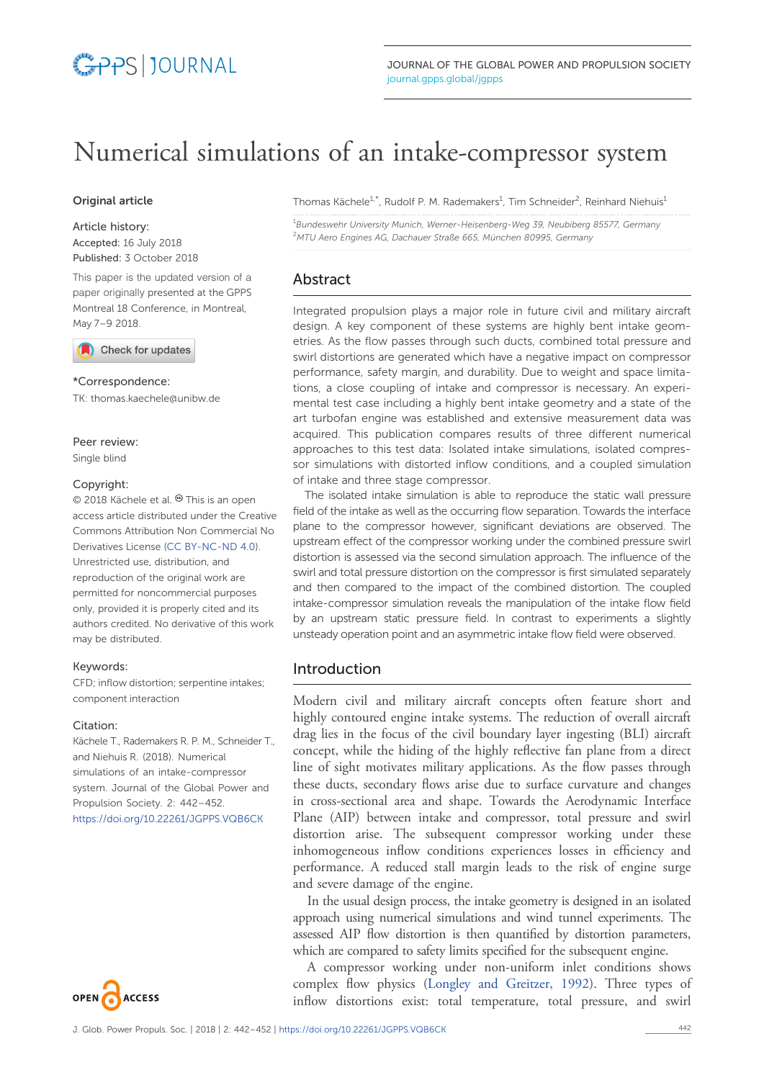# Numerical simulations of an intake-compressor system

## Original article

#### Article history:

Accepted: 16 July 2018 Published: 3 October 2018

This paper is the updated version of a paper originally presented at the GPPS Montreal 18 Conference, in Montreal, May 7–9 [2018.](http://crossmark.crossref.org/dialog/?doi=10.22261/JGPPS.VQB6CK&domain=pdf)

Check for updates

#### \*Correspondence:

TK: thomas.kaechele@unibw.de

# Peer review:

Single blind

### Copyright:

© 2018 Kächele et al. <sup>©</sup> This is an open access article distributed under the Creative Commons Attribution Non Commercial No Derivatives License (CC [BY-NC-ND](https://creativecommons.org/licenses/by-nc-nd/4.0/) 4.0). Unrestricted use, distribution, and reproduction of the original work are permitted for noncommercial purposes only, provided it is properly cited and its authors credited. No derivative of this work may be distributed.

### Keywords:

CFD; inflow distortion; serpentine intakes; component interaction

#### Citation:

Kächele T., Rademakers R. P. M., Schneider T., and Niehuis R. (2018). Numerical simulations of an intake-compressor system. Journal of the Global Power and Propulsion Society. 2: 442–452. <https://doi.org/10.22261/JGPPS.VQB6CK>



Thomas Kächele<sup>1,\*</sup>, Rudolf P. M. Rademakers<sup>1</sup>, Tim Schneider<sup>2</sup>, Reinhard Niehuis<sup>1</sup>

<sup>1</sup>Bundeswehr University Munich, Werner-Heisenberg-Weg 39, Neubiberg 85577, Germany <sup>2</sup>MTU Aero Engines AG, Dachauer Straße 665, München 80995, Germany

# Abstract

Integrated propulsion plays a major role in future civil and military aircraft design. A key component of these systems are highly bent intake geometries. As the flow passes through such ducts, combined total pressure and swirl distortions are generated which have a negative impact on compressor performance, safety margin, and durability. Due to weight and space limitations, a close coupling of intake and compressor is necessary. An experimental test case including a highly bent intake geometry and a state of the art turbofan engine was established and extensive measurement data was acquired. This publication compares results of three different numerical approaches to this test data: Isolated intake simulations, isolated compressor simulations with distorted inflow conditions, and a coupled simulation of intake and three stage compressor.

The isolated intake simulation is able to reproduce the static wall pressure field of the intake as well as the occurring flow separation. Towards the interface plane to the compressor however, significant deviations are observed. The upstream effect of the compressor working under the combined pressure swirl distortion is assessed via the second simulation approach. The influence of the swirl and total pressure distortion on the compressor is first simulated separately and then compared to the impact of the combined distortion. The coupled intake-compressor simulation reveals the manipulation of the intake flow field by an upstream static pressure field. In contrast to experiments a slightly unsteady operation point and an asymmetric intake flow field were observed.

# Introduction

Modern civil and military aircraft concepts often feature short and highly contoured engine intake systems. The reduction of overall aircraft drag lies in the focus of the civil boundary layer ingesting (BLI) aircraft concept, while the hiding of the highly reflective fan plane from a direct line of sight motivates military applications. As the flow passes through these ducts, secondary flows arise due to surface curvature and changes in cross-sectional area and shape. Towards the Aerodynamic Interface Plane (AIP) between intake and compressor, total pressure and swirl distortion arise. The subsequent compressor working under these inhomogeneous inflow conditions experiences losses in efficiency and performance. A reduced stall margin leads to the risk of engine surge and severe damage of the engine.

In the usual design process, the intake geometry is designed in an isolated approach using numerical simulations and wind tunnel experiments. The assessed AIP flow distortion is then quantified by distortion parameters, which are compared to safety limits specified for the subsequent engine.

A compressor working under non-uniform inlet conditions shows complex flow physics [\(Longley and Greitzer, 1992](#page-9-0)). Three types of inflow distortions exist: total temperature, total pressure, and swirl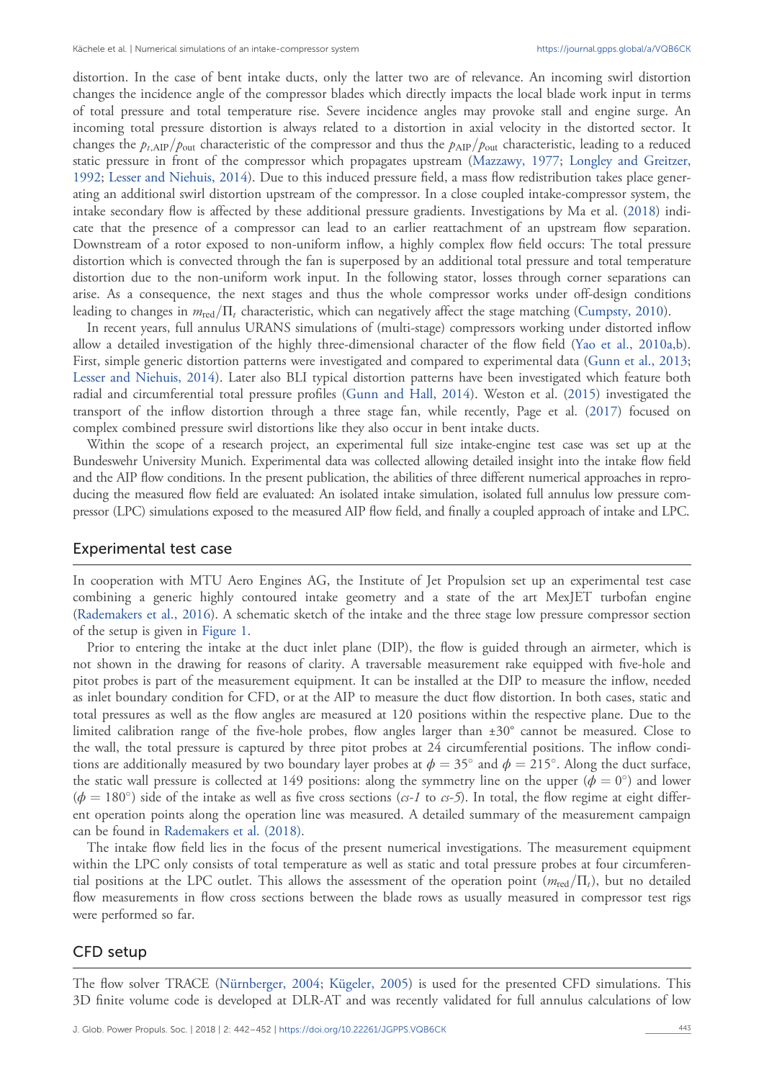distortion. In the case of bent intake ducts, only the latter two are of relevance. An incoming swirl distortion changes the incidence angle of the compressor blades which directly impacts the local blade work input in terms of total pressure and total temperature rise. Severe incidence angles may provoke stall and engine surge. An incoming total pressure distortion is always related to a distortion in axial velocity in the distorted sector. It changes the  $p_{t,AIP}/p_{out}$  characteristic of the compressor and thus the  $p_{AIP}/p_{out}$  characteristic, leading to a reduced static pressure in front of the compressor which propagates upstream [\(Mazzawy, 1977](#page-10-0); [Longley and Greitzer,](#page-9-0) [1992;](#page-9-0) [Lesser and Niehuis, 2014\)](#page-9-0). Due to this induced pressure field, a mass flow redistribution takes place generating an additional swirl distortion upstream of the compressor. In a close coupled intake-compressor system, the intake secondary flow is affected by these additional pressure gradients. Investigations by Ma et al. [\(2018](#page-10-0)) indicate that the presence of a compressor can lead to an earlier reattachment of an upstream flow separation. Downstream of a rotor exposed to non-uniform inflow, a highly complex flow field occurs: The total pressure distortion which is convected through the fan is superposed by an additional total pressure and total temperature distortion due to the non-uniform work input. In the following stator, losses through corner separations can arise. As a consequence, the next stages and thus the whole compressor works under off-design conditions leading to changes in  $m_{\text{red}}/\Pi_t$  characteristic, which can negatively affect the stage matching ([Cumpsty, 2010](#page-9-0)).

In recent years, full annulus URANS simulations of (multi-stage) compressors working under distorted inflow allow a detailed investigation of the highly three-dimensional character of the flow field [\(Yao et al., 2010a](#page-10-0),[b](#page-10-0)). First, simple generic distortion patterns were investigated and compared to experimental data [\(Gunn et al., 2013;](#page-9-0) [Lesser and Niehuis, 2014\)](#page-9-0). Later also BLI typical distortion patterns have been investigated which feature both radial and circumferential total pressure profiles ([Gunn and Hall, 2014](#page-9-0)). Weston et al. ([2015\)](#page-10-0) investigated the transport of the inflow distortion through a three stage fan, while recently, Page et al. [\(2017](#page-10-0)) focused on complex combined pressure swirl distortions like they also occur in bent intake ducts.

Within the scope of a research project, an experimental full size intake-engine test case was set up at the Bundeswehr University Munich. Experimental data was collected allowing detailed insight into the intake flow field and the AIP flow conditions. In the present publication, the abilities of three different numerical approaches in reproducing the measured flow field are evaluated: An isolated intake simulation, isolated full annulus low pressure compressor (LPC) simulations exposed to the measured AIP flow field, and finally a coupled approach of intake and LPC.

### Experimental test case

In cooperation with MTU Aero Engines AG, the Institute of Jet Propulsion set up an experimental test case combining a generic highly contoured intake geometry and a state of the art MexJET turbofan engine [\(Rademakers et al., 2016](#page-10-0)). A schematic sketch of the intake and the three stage low pressure compressor section of the setup is given in [Figure 1.](#page-2-0)

Prior to entering the intake at the duct inlet plane (DIP), the flow is guided through an airmeter, which is not shown in the drawing for reasons of clarity. A traversable measurement rake equipped with five-hole and pitot probes is part of the measurement equipment. It can be installed at the DIP to measure the inflow, needed as inlet boundary condition for CFD, or at the AIP to measure the duct flow distortion. In both cases, static and total pressures as well as the flow angles are measured at 120 positions within the respective plane. Due to the limited calibration range of the five-hole probes, flow angles larger than ±30° cannot be measured. Close to the wall, the total pressure is captured by three pitot probes at 24 circumferential positions. The inflow conditions are additionally measured by two boundary layer probes at  $\phi = 35^\circ$  and  $\phi = 215^\circ$ . Along the duct surface, the static wall pressure is collected at 149 positions: along the symmetry line on the upper ( $\phi = 0^{\circ}$ ) and lower  $(\phi = 180^\circ)$  side of the intake as well as five cross sections (cs-1 to cs-5). In total, the flow regime at eight different operation points along the operation line was measured. A detailed summary of the measurement campaign can be found in [Rademakers et al. \(2018\).](#page-10-0)

The intake flow field lies in the focus of the present numerical investigations. The measurement equipment within the LPC only consists of total temperature as well as static and total pressure probes at four circumferential positions at the LPC outlet. This allows the assessment of the operation point  $(m_{red}/\Pi_t)$ , but no detailed flow measurements in flow cross sections between the blade rows as usually measured in compressor test rigs were performed so far.

### CFD setup

The flow solver TRACE ([Nürnberger, 2004;](#page-10-0) [Kügeler, 2005](#page-9-0)) is used for the presented CFD simulations. This 3D finite volume code is developed at DLR-AT and was recently validated for full annulus calculations of low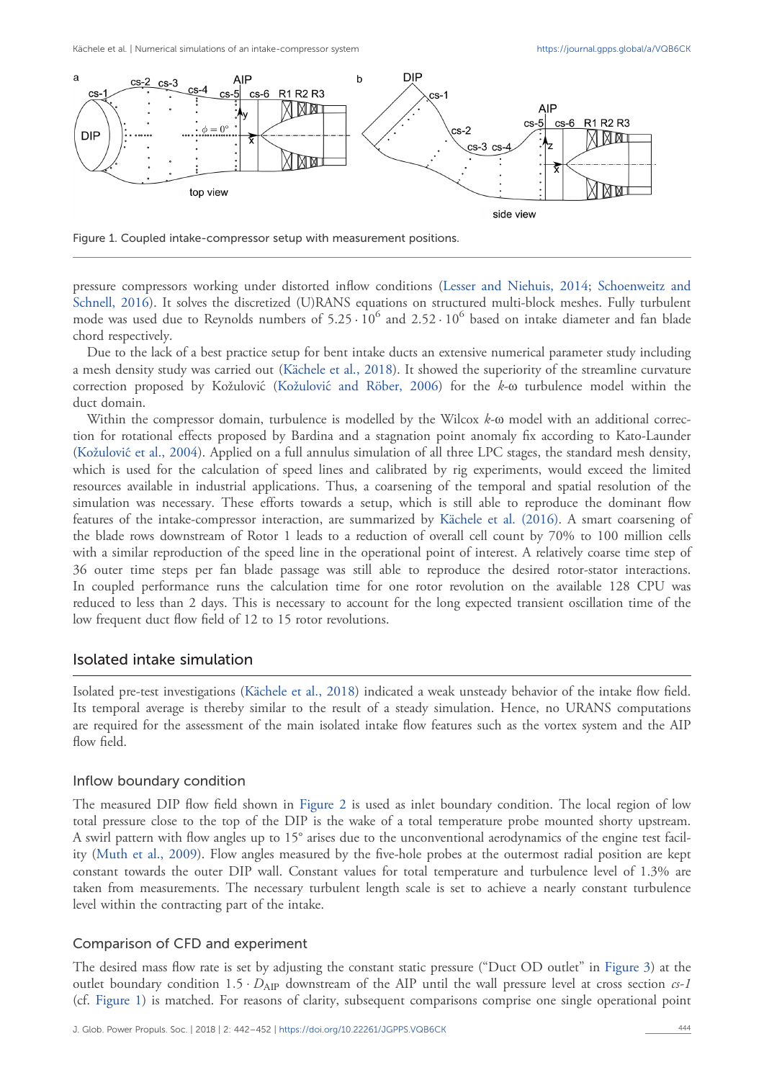<span id="page-2-0"></span>

Figure 1. Coupled intake-compressor setup with measurement positions.

pressure compressors working under distorted inflow conditions [\(Lesser and Niehuis, 2014](#page-9-0); [Schoenweitz and](#page-10-0) [Schnell, 2016](#page-10-0)). It solves the discretized (U)RANS equations on structured multi-block meshes. Fully turbulent mode was used due to Reynolds numbers of  $5.25 \cdot 10^6$  and  $2.52 \cdot 10^6$  based on intake diameter and fan blade chord respectively.

Due to the lack of a best practice setup for bent intake ducts an extensive numerical parameter study including a mesh density study was carried out ([Kächele et al., 2018\)](#page-9-0). It showed the superiority of the streamline curvature correction proposed by Kožulović (Kožulović [and Röber, 2006\)](#page-9-0) for the k-ω turbulence model within the duct domain.

Within the compressor domain, turbulence is modelled by the Wilcox  $k$ - $\omega$  model with an additional correction for rotational effects proposed by Bardina and a stagnation point anomaly fix according to Kato-Launder (Kožulović[et al., 2004](#page-9-0)). Applied on a full annulus simulation of all three LPC stages, the standard mesh density, which is used for the calculation of speed lines and calibrated by rig experiments, would exceed the limited resources available in industrial applications. Thus, a coarsening of the temporal and spatial resolution of the simulation was necessary. These efforts towards a setup, which is still able to reproduce the dominant flow features of the intake-compressor interaction, are summarized by [Kächele et al. \(2016\)](#page-9-0). A smart coarsening of the blade rows downstream of Rotor 1 leads to a reduction of overall cell count by 70% to 100 million cells with a similar reproduction of the speed line in the operational point of interest. A relatively coarse time step of 36 outer time steps per fan blade passage was still able to reproduce the desired rotor-stator interactions. In coupled performance runs the calculation time for one rotor revolution on the available 128 CPU was reduced to less than 2 days. This is necessary to account for the long expected transient oscillation time of the low frequent duct flow field of 12 to 15 rotor revolutions.

## Isolated intake simulation

Isolated pre-test investigations ([Kächele et al., 2018\)](#page-9-0) indicated a weak unsteady behavior of the intake flow field. Its temporal average is thereby similar to the result of a steady simulation. Hence, no URANS computations are required for the assessment of the main isolated intake flow features such as the vortex system and the AIP flow field.

## Inflow boundary condition

The measured DIP flow field shown in [Figure 2](#page-3-0) is used as inlet boundary condition. The local region of low total pressure close to the top of the DIP is the wake of a total temperature probe mounted shorty upstream. A swirl pattern with flow angles up to 15° arises due to the unconventional aerodynamics of the engine test facility ([Muth et al., 2009\)](#page-10-0). Flow angles measured by the five-hole probes at the outermost radial position are kept constant towards the outer DIP wall. Constant values for total temperature and turbulence level of 1.3% are taken from measurements. The necessary turbulent length scale is set to achieve a nearly constant turbulence level within the contracting part of the intake.

#### Comparison of CFD and experiment

The desired mass flow rate is set by adjusting the constant static pressure ("Duct OD outlet" in [Figure 3](#page-4-0)) at the outlet boundary condition  $1.5 \cdot D_{\rm{AIP}}$  downstream of the AIP until the wall pressure level at cross section  $cs-1$ (cf. Figure 1) is matched. For reasons of clarity, subsequent comparisons comprise one single operational point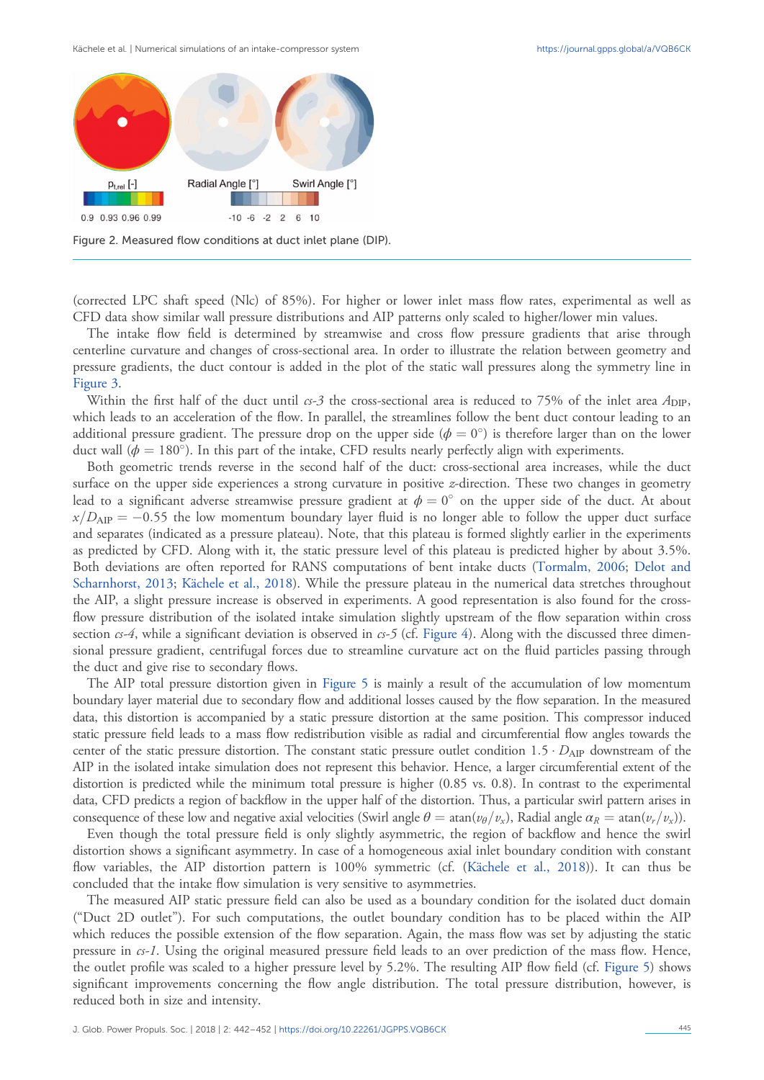<span id="page-3-0"></span>Kächele et al. | Numerical simulations of an intake-compressor system <https://journal.gpps.global/a/VQB6CK>



Figure 2. Measured flow conditions at duct inlet plane (DIP).

(corrected LPC shaft speed (Nlc) of 85%). For higher or lower inlet mass flow rates, experimental as well as CFD data show similar wall pressure distributions and AIP patterns only scaled to higher/lower min values.

The intake flow field is determined by streamwise and cross flow pressure gradients that arise through centerline curvature and changes of cross-sectional area. In order to illustrate the relation between geometry and pressure gradients, the duct contour is added in the plot of the static wall pressures along the symmetry line in [Figure 3](#page-4-0).

Within the first half of the duct until  $c<sub>5</sub>$  the cross-sectional area is reduced to 75% of the inlet area  $A_{\text{DIP}}$ , which leads to an acceleration of the flow. In parallel, the streamlines follow the bent duct contour leading to an additional pressure gradient. The pressure drop on the upper side ( $\phi = 0^{\circ}$ ) is therefore larger than on the lower duct wall ( $\phi = 180^\circ$ ). In this part of the intake, CFD results nearly perfectly align with experiments.

Both geometric trends reverse in the second half of the duct: cross-sectional area increases, while the duct surface on the upper side experiences a strong curvature in positive *z*-direction. These two changes in geometry lead to a significant adverse streamwise pressure gradient at  $\phi = 0^{\circ}$  on the upper side of the duct. At about  $x/D_{\text{AIP}} = -0.55$  the low momentum boundary layer fluid is no longer able to follow the upper duct surface and separates (indicated as a pressure plateau). Note, that this plateau is formed slightly earlier in the experiments as predicted by CFD. Along with it, the static pressure level of this plateau is predicted higher by about 3.5%. Both deviations are often reported for RANS computations of bent intake ducts ([Tormalm, 2006](#page-10-0); [Delot and](#page-9-0) [Scharnhorst, 2013](#page-9-0); [Kächele et al., 2018](#page-9-0)). While the pressure plateau in the numerical data stretches throughout the AIP, a slight pressure increase is observed in experiments. A good representation is also found for the crossflow pressure distribution of the isolated intake simulation slightly upstream of the flow separation within cross section  $cs-4$ , while a significant deviation is observed in  $cs-5$  (cf. [Figure 4](#page-4-0)). Along with the discussed three dimensional pressure gradient, centrifugal forces due to streamline curvature act on the fluid particles passing through the duct and give rise to secondary flows.

The AIP total pressure distortion given in [Figure 5](#page-4-0) is mainly a result of the accumulation of low momentum boundary layer material due to secondary flow and additional losses caused by the flow separation. In the measured data, this distortion is accompanied by a static pressure distortion at the same position. This compressor induced static pressure field leads to a mass flow redistribution visible as radial and circumferential flow angles towards the center of the static pressure distortion. The constant static pressure outlet condition  $1.5 \cdot D_{AP}$  downstream of the AIP in the isolated intake simulation does not represent this behavior. Hence, a larger circumferential extent of the distortion is predicted while the minimum total pressure is higher (0.85 vs. 0.8). In contrast to the experimental data, CFD predicts a region of backflow in the upper half of the distortion. Thus, a particular swirl pattern arises in consequence of these low and negative axial velocities (Swirl angle  $\theta = \tan(v_p/v_x)$ , Radial angle  $\alpha_R = \tan(v_r/v_x)$ ).

Even though the total pressure field is only slightly asymmetric, the region of backflow and hence the swirl distortion shows a significant asymmetry. In case of a homogeneous axial inlet boundary condition with constant flow variables, the AIP distortion pattern is 100% symmetric (cf. ([Kächele et al., 2018](#page-9-0))). It can thus be concluded that the intake flow simulation is very sensitive to asymmetries.

The measured AIP static pressure field can also be used as a boundary condition for the isolated duct domain ("Duct 2D outlet"). For such computations, the outlet boundary condition has to be placed within the AIP which reduces the possible extension of the flow separation. Again, the mass flow was set by adjusting the static pressure in cs-1. Using the original measured pressure field leads to an over prediction of the mass flow. Hence, the outlet profile was scaled to a higher pressure level by 5.2%. The resulting AIP flow field (cf. [Figure 5\)](#page-4-0) shows significant improvements concerning the flow angle distribution. The total pressure distribution, however, is reduced both in size and intensity.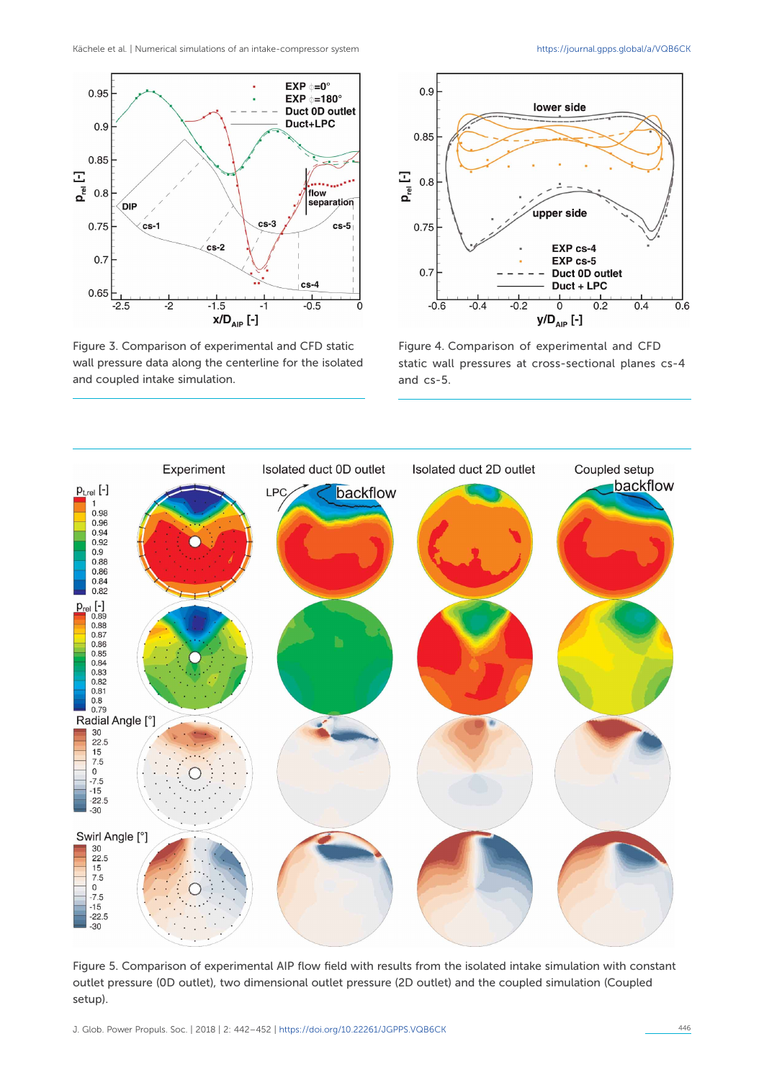<span id="page-4-0"></span>Kächele et al. | Numerical simulations of an intake-compressor system <https://journal.gpps.global/a/VQB6CK>



Figure 3. Comparison of experimental and CFD static wall pressure data along the centerline for the isolated and coupled intake simulation.



Figure 4. Comparison of experimental and CFD static wall pressures at cross-sectional planes cs-4 and cs-5.



Figure 5. Comparison of experimental AIP flow field with results from the isolated intake simulation with constant outlet pressure (0D outlet), two dimensional outlet pressure (2D outlet) and the coupled simulation (Coupled setup).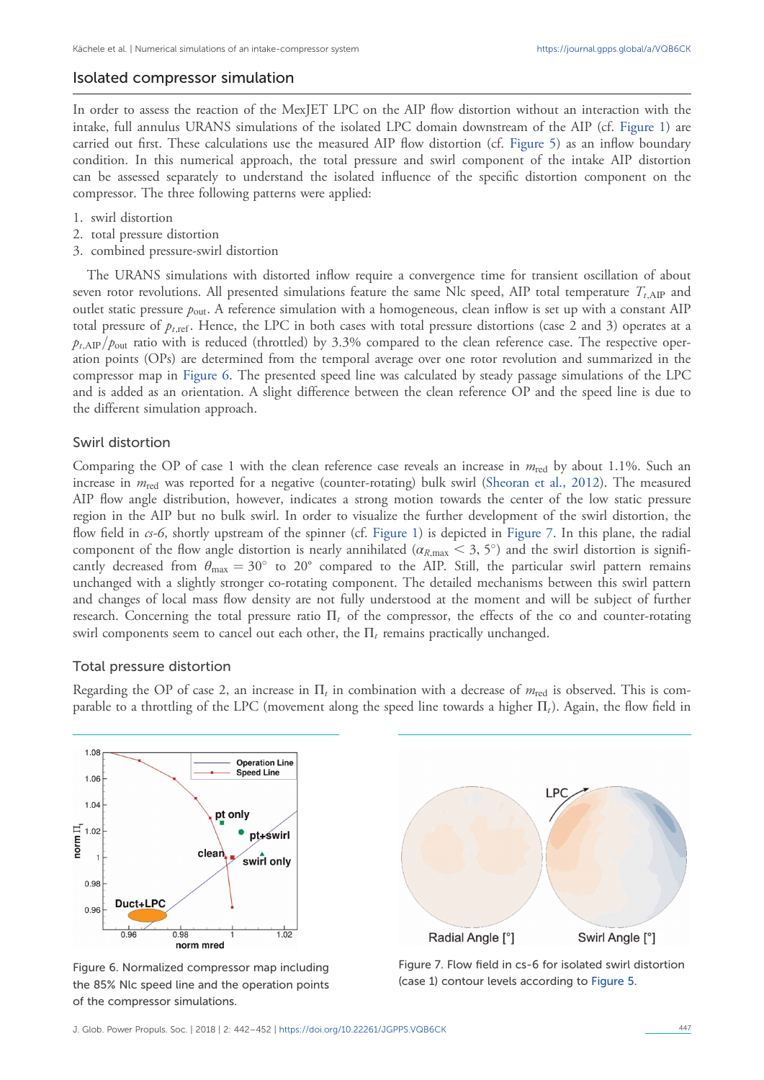## <span id="page-5-0"></span>Isolated compressor simulation

In order to assess the reaction of the MexJET LPC on the AIP flow distortion without an interaction with the intake, full annulus URANS simulations of the isolated LPC domain downstream of the AIP (cf. [Figure 1](#page-2-0)) are carried out first. These calculations use the measured AIP flow distortion (cf. [Figure 5\)](#page-4-0) as an inflow boundary condition. In this numerical approach, the total pressure and swirl component of the intake AIP distortion can be assessed separately to understand the isolated influence of the specific distortion component on the compressor. The three following patterns were applied:

- 1. swirl distortion
- 2. total pressure distortion
- 3. combined pressure-swirl distortion

The URANS simulations with distorted inflow require a convergence time for transient oscillation of about seven rotor revolutions. All presented simulations feature the same Nlc speed, AIP total temperature  $T_{t,\text{AIP}}$  and outlet static pressure  $p_{\text{out}}$ . A reference simulation with a homogeneous, clean inflow is set up with a constant AIP total pressure of  $p_{t,\text{ref}}$ . Hence, the LPC in both cases with total pressure distortions (case 2 and 3) operates at a  $p_{t,AP}/p_{out}$  ratio with is reduced (throttled) by 3.3% compared to the clean reference case. The respective operation points (OPs) are determined from the temporal average over one rotor revolution and summarized in the compressor map in Figure 6. The presented speed line was calculated by steady passage simulations of the LPC and is added as an orientation. A slight difference between the clean reference OP and the speed line is due to the different simulation approach.

## Swirl distortion

Comparing the OP of case 1 with the clean reference case reveals an increase in  $m_{\text{red}}$  by about 1.1%. Such an increase in  $m_{\text{red}}$  was reported for a negative (counter-rotating) bulk swirl ([Sheoran et al., 2012](#page-10-0)). The measured AIP flow angle distribution, however, indicates a strong motion towards the center of the low static pressure region in the AIP but no bulk swirl. In order to visualize the further development of the swirl distortion, the flow field in cs-6, shortly upstream of the spinner (cf. [Figure 1](#page-2-0)) is depicted in Figure 7. In this plane, the radial component of the flow angle distortion is nearly annihilated ( $\alpha_{R,\text{max}} < 3, 5^{\circ}$ ) and the swirl distortion is significantly decreased from  $\theta_{\text{max}} = 30^{\circ}$  to 20° compared to the AIP. Still, the particular swirl pattern remains unchanged with a slightly stronger co-rotating component. The detailed mechanisms between this swirl pattern and changes of local mass flow density are not fully understood at the moment and will be subject of further research. Concerning the total pressure ratio  $\Pi_t$  of the compressor, the effects of the co and counter-rotating swirl components seem to cancel out each other, the  $\Pi_t$  remains practically unchanged.

### Total pressure distortion

Regarding the OP of case 2, an increase in  $\Pi_t$  in combination with a decrease of  $m_{\text{red}}$  is observed. This is comparable to a throttling of the LPC (movement along the speed line towards a higher  $\Pi_t$ ). Again, the flow field in



Figure 6. Normalized compressor map including the 85% Nlc speed line and the operation points of the compressor simulations.



Figure 7. Flow field in cs-6 for isolated swirl distortion (case 1) contour levels according to [Figure 5](#page-4-0).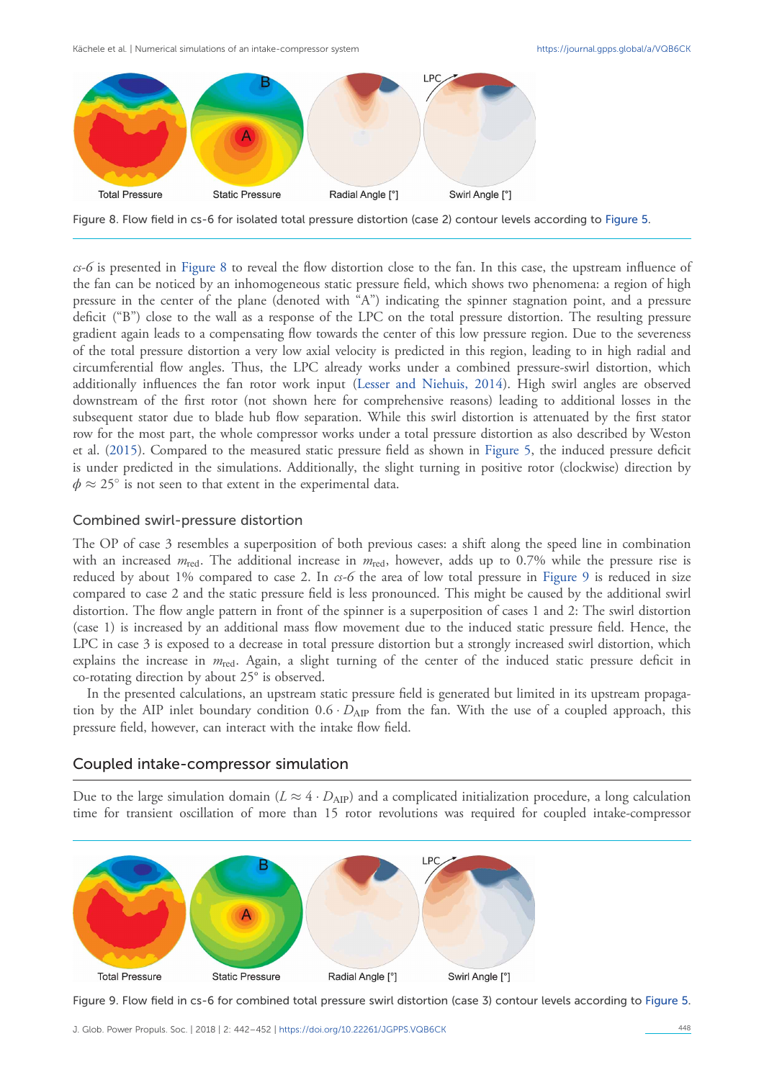Kächele et al. | Numerical simulations of an intake-compressor system <https://journal.gpps.global/a/VQB6CK>



Figure 8. Flow field in cs-6 for isolated total pressure distortion (case 2) contour levels according to [Figure 5](#page-4-0).

cs-6 is presented in Figure 8 to reveal the flow distortion close to the fan. In this case, the upstream influence of the fan can be noticed by an inhomogeneous static pressure field, which shows two phenomena: a region of high pressure in the center of the plane (denoted with "A") indicating the spinner stagnation point, and a pressure deficit ("B") close to the wall as a response of the LPC on the total pressure distortion. The resulting pressure gradient again leads to a compensating flow towards the center of this low pressure region. Due to the severeness of the total pressure distortion a very low axial velocity is predicted in this region, leading to in high radial and circumferential flow angles. Thus, the LPC already works under a combined pressure-swirl distortion, which additionally influences the fan rotor work input [\(Lesser and Niehuis, 2014\)](#page-9-0). High swirl angles are observed downstream of the first rotor (not shown here for comprehensive reasons) leading to additional losses in the subsequent stator due to blade hub flow separation. While this swirl distortion is attenuated by the first stator row for the most part, the whole compressor works under a total pressure distortion as also described by Weston et al. [\(2015](#page-10-0)). Compared to the measured static pressure field as shown in [Figure 5,](#page-4-0) the induced pressure deficit is under predicted in the simulations. Additionally, the slight turning in positive rotor (clockwise) direction by  $\phi \approx 25^\circ$  is not seen to that extent in the experimental data.

## Combined swirl-pressure distortion

The OP of case 3 resembles a superposition of both previous cases: a shift along the speed line in combination with an increased  $m_{\text{red}}$ . The additional increase in  $m_{\text{red}}$ , however, adds up to 0.7% while the pressure rise is reduced by about 1% compared to case 2. In  $c<sub>5</sub>$  of the area of low total pressure in Figure 9 is reduced in size compared to case 2 and the static pressure field is less pronounced. This might be caused by the additional swirl distortion. The flow angle pattern in front of the spinner is a superposition of cases 1 and 2: The swirl distortion (case 1) is increased by an additional mass flow movement due to the induced static pressure field. Hence, the LPC in case 3 is exposed to a decrease in total pressure distortion but a strongly increased swirl distortion, which explains the increase in  $m_{\text{red}}$ . Again, a slight turning of the center of the induced static pressure deficit in co-rotating direction by about 25° is observed.

In the presented calculations, an upstream static pressure field is generated but limited in its upstream propagation by the AIP inlet boundary condition  $0.6 \cdot D_{AP}$  from the fan. With the use of a coupled approach, this pressure field, however, can interact with the intake flow field.

## Coupled intake-compressor simulation

Due to the large simulation domain ( $L \approx 4 \cdot D_{AP}$ ) and a complicated initialization procedure, a long calculation time for transient oscillation of more than 15 rotor revolutions was required for coupled intake-compressor



Figure 9. Flow field in cs-6 for combined total pressure swirl distortion (case 3) contour levels according to [Figure 5](#page-4-0).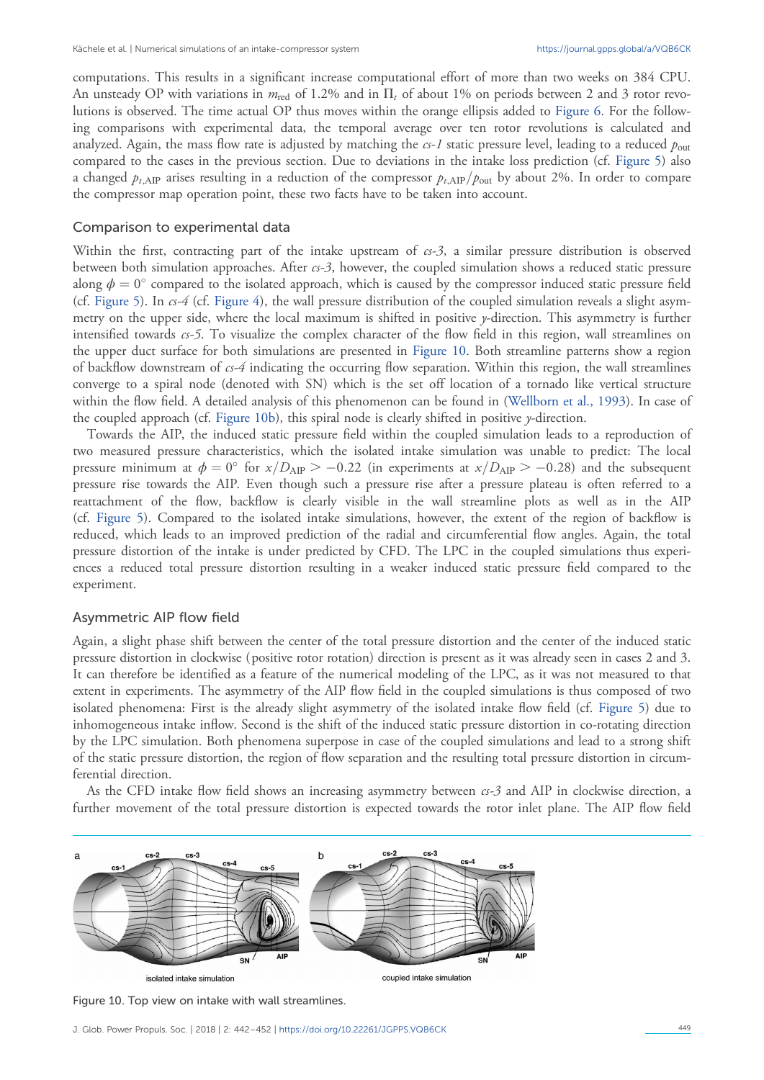computations. This results in a significant increase computational effort of more than two weeks on 384 CPU. An unsteady OP with variations in  $m_{\text{red}}$  of 1.2% and in  $\Pi_t$  of about 1% on periods between 2 and 3 rotor revolutions is observed. The time actual OP thus moves within the orange ellipsis added to [Figure 6](#page-5-0). For the following comparisons with experimental data, the temporal average over ten rotor revolutions is calculated and analyzed. Again, the mass flow rate is adjusted by matching the  $cs-1$  static pressure level, leading to a reduced  $p_{\text{out}}$ compared to the cases in the previous section. Due to deviations in the intake loss prediction (cf. [Figure 5\)](#page-4-0) also a changed  $p_{t,AP}$  arises resulting in a reduction of the compressor  $p_{t,AP}/p_{out}$  by about 2%. In order to compare the compressor map operation point, these two facts have to be taken into account.

#### Comparison to experimental data

Within the first, contracting part of the intake upstream of  $c<sub>5</sub>$ , a similar pressure distribution is observed between both simulation approaches. After cs-3, however, the coupled simulation shows a reduced static pressure along  $\phi = 0^{\circ}$  compared to the isolated approach, which is caused by the compressor induced static pressure field (cf. [Figure 5](#page-4-0)). In  $cs-4$  (cf. [Figure 4](#page-4-0)), the wall pressure distribution of the coupled simulation reveals a slight asymmetry on the upper side, where the local maximum is shifted in positive y-direction. This asymmetry is further intensified towards  $cs-5$ . To visualize the complex character of the flow field in this region, wall streamlines on the upper duct surface for both simulations are presented in Figure 10. Both streamline patterns show a region of backflow downstream of  $cs-4$  indicating the occurring flow separation. Within this region, the wall streamlines converge to a spiral node (denoted with SN) which is the set off location of a tornado like vertical structure within the flow field. A detailed analysis of this phenomenon can be found in ([Wellborn et al., 1993\)](#page-10-0). In case of the coupled approach (cf. Figure 10b), this spiral node is clearly shifted in positive  $\gamma$ -direction.

Towards the AIP, the induced static pressure field within the coupled simulation leads to a reproduction of two measured pressure characteristics, which the isolated intake simulation was unable to predict: The local pressure minimum at  $\phi = 0^{\circ}$  for  $x/D_{\text{AIP}} > -0.22$  (in experiments at  $x/D_{\text{AIP}} > -0.28$ ) and the subsequent pressure rise towards the AIP. Even though such a pressure rise after a pressure plateau is often referred to a reattachment of the flow, backflow is clearly visible in the wall streamline plots as well as in the AIP (cf. [Figure 5\)](#page-4-0). Compared to the isolated intake simulations, however, the extent of the region of backflow is reduced, which leads to an improved prediction of the radial and circumferential flow angles. Again, the total pressure distortion of the intake is under predicted by CFD. The LPC in the coupled simulations thus experiences a reduced total pressure distortion resulting in a weaker induced static pressure field compared to the experiment.

#### Asymmetric AIP flow field

Again, a slight phase shift between the center of the total pressure distortion and the center of the induced static pressure distortion in clockwise ( positive rotor rotation) direction is present as it was already seen in cases 2 and 3. It can therefore be identified as a feature of the numerical modeling of the LPC, as it was not measured to that extent in experiments. The asymmetry of the AIP flow field in the coupled simulations is thus composed of two isolated phenomena: First is the already slight asymmetry of the isolated intake flow field (cf. [Figure 5\)](#page-4-0) due to inhomogeneous intake inflow. Second is the shift of the induced static pressure distortion in co-rotating direction by the LPC simulation. Both phenomena superpose in case of the coupled simulations and lead to a strong shift of the static pressure distortion, the region of flow separation and the resulting total pressure distortion in circumferential direction.

As the CFD intake flow field shows an increasing asymmetry between  $cs-3$  and AIP in clockwise direction, a further movement of the total pressure distortion is expected towards the rotor inlet plane. The AIP flow field



Figure 10. Top view on intake with wall streamlines.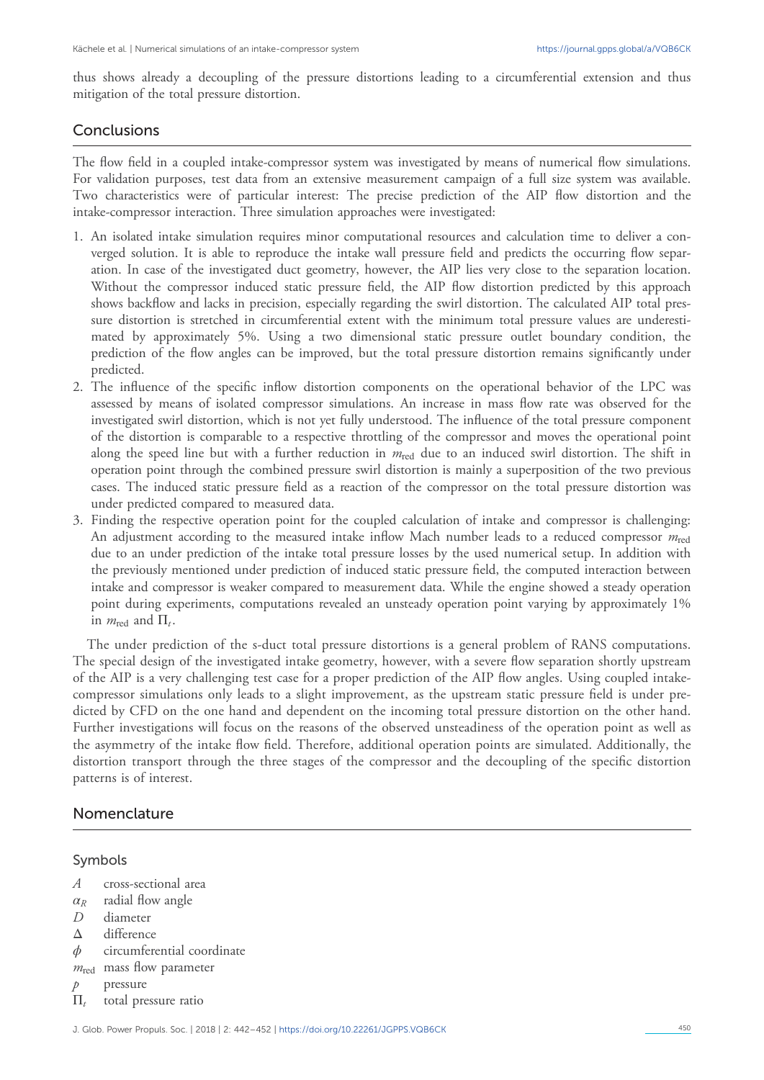thus shows already a decoupling of the pressure distortions leading to a circumferential extension and thus mitigation of the total pressure distortion.

## **Conclusions**

The flow field in a coupled intake-compressor system was investigated by means of numerical flow simulations. For validation purposes, test data from an extensive measurement campaign of a full size system was available. Two characteristics were of particular interest: The precise prediction of the AIP flow distortion and the intake-compressor interaction. Three simulation approaches were investigated:

- 1. An isolated intake simulation requires minor computational resources and calculation time to deliver a converged solution. It is able to reproduce the intake wall pressure field and predicts the occurring flow separation. In case of the investigated duct geometry, however, the AIP lies very close to the separation location. Without the compressor induced static pressure field, the AIP flow distortion predicted by this approach shows backflow and lacks in precision, especially regarding the swirl distortion. The calculated AIP total pressure distortion is stretched in circumferential extent with the minimum total pressure values are underestimated by approximately 5%. Using a two dimensional static pressure outlet boundary condition, the prediction of the flow angles can be improved, but the total pressure distortion remains significantly under predicted.
- 2. The influence of the specific inflow distortion components on the operational behavior of the LPC was assessed by means of isolated compressor simulations. An increase in mass flow rate was observed for the investigated swirl distortion, which is not yet fully understood. The influence of the total pressure component of the distortion is comparable to a respective throttling of the compressor and moves the operational point along the speed line but with a further reduction in  $m_{\text{red}}$  due to an induced swirl distortion. The shift in operation point through the combined pressure swirl distortion is mainly a superposition of the two previous cases. The induced static pressure field as a reaction of the compressor on the total pressure distortion was under predicted compared to measured data.
- 3. Finding the respective operation point for the coupled calculation of intake and compressor is challenging: An adjustment according to the measured intake inflow Mach number leads to a reduced compressor  $m_{\text{red}}$ due to an under prediction of the intake total pressure losses by the used numerical setup. In addition with the previously mentioned under prediction of induced static pressure field, the computed interaction between intake and compressor is weaker compared to measurement data. While the engine showed a steady operation point during experiments, computations revealed an unsteady operation point varying by approximately 1% in  $m_{\text{red}}$  and  $\Pi_t$ .

The under prediction of the s-duct total pressure distortions is a general problem of RANS computations. The special design of the investigated intake geometry, however, with a severe flow separation shortly upstream of the AIP is a very challenging test case for a proper prediction of the AIP flow angles. Using coupled intakecompressor simulations only leads to a slight improvement, as the upstream static pressure field is under predicted by CFD on the one hand and dependent on the incoming total pressure distortion on the other hand. Further investigations will focus on the reasons of the observed unsteadiness of the operation point as well as the asymmetry of the intake flow field. Therefore, additional operation points are simulated. Additionally, the distortion transport through the three stages of the compressor and the decoupling of the specific distortion patterns is of interest.

## Nomenclature

## Symbols

- A cross-sectional area
- $\alpha_R$  radial flow angle<br>*D* diameter
- diameter
- Δ difference
- $\phi$  circumferential coordinate
- $m_{\text{red}}$  mass flow parameter
- $p$  pressure
- $\Pi_t$  total pressure ratio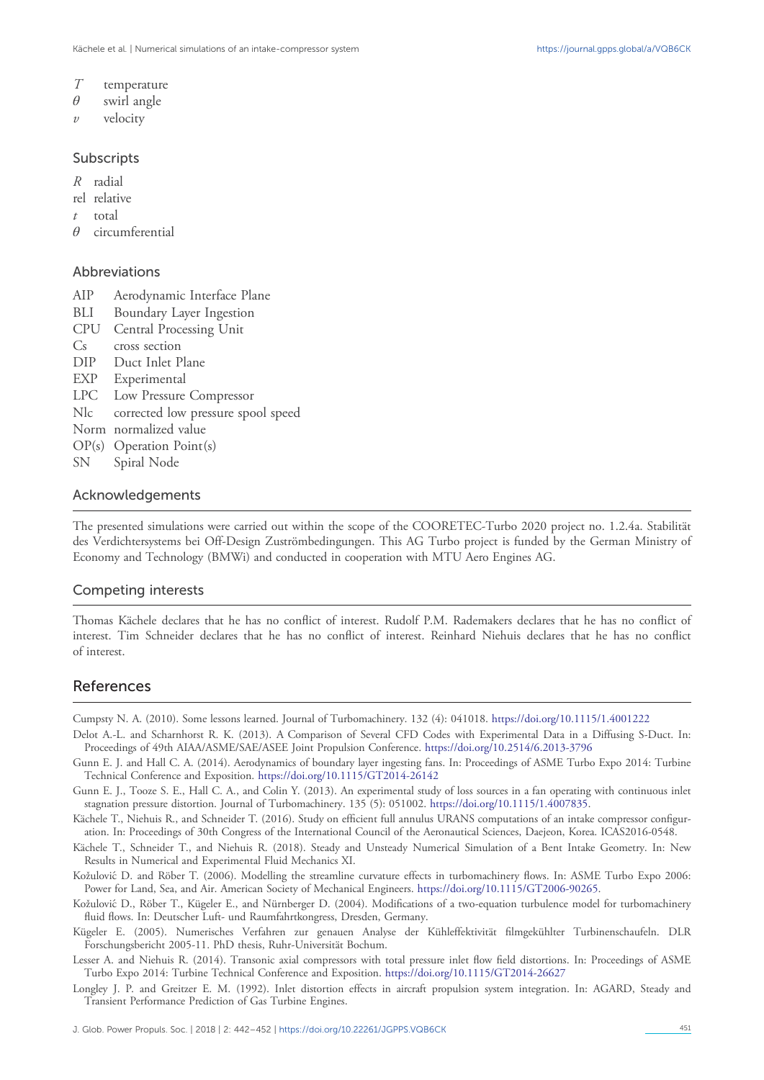- <span id="page-9-0"></span>T temperature
- $\theta$  swirl angle
- $v$  velocity

### Subscripts

- R radial
- rel relative
- $t$  total
- θ circumferential

## Abbreviations

- AIP Aerodynamic Interface Plane
- BLI Boundary Layer Ingestion
- CPU Central Processing Unit
- C<sub>s</sub> cross section
- DIP Duct Inlet Plane
- EXP Experimental
- LPC Low Pressure Compressor
- Nlc corrected low pressure spool speed
- Norm normalized value
- OP(s) Operation Point(s)
- SN Spiral Node

## Acknowledgements

The presented simulations were carried out within the scope of the COORETEC-Turbo 2020 project no. 1.2.4a. Stabilität des Verdichtersystems bei Off-Design Zuströmbedingungen. This AG Turbo project is funded by the German Ministry of Economy and Technology (BMWi) and conducted in cooperation with MTU Aero Engines AG.

## Competing interests

Thomas Kächele declares that he has no conflict of interest. Rudolf P.M. Rademakers declares that he has no conflict of interest. Tim Schneider declares that he has no conflict of interest. Reinhard Niehuis declares that he has no conflict of interest.

# References

Cumpsty N. A. (2010). Some lessons learned. Journal of Turbomachinery. 132 (4): 041018. [https://doi.org/10.1115/1.4001222](https://doi.org/10.1115/1.�4001222)

- Delot A.-L. and Scharnhorst R. K. (2013). A Comparison of Several CFD Codes with Experimental Data in a Diffusing S-Duct. In: Proceedings of 49th AIAA/ASME/SAE/ASEE Joint Propulsion Conference. <https://doi.org/10.2514/6.2013-3796>
- Gunn E. J. and Hall C. A. (2014). Aerodynamics of boundary layer ingesting fans. In: Proceedings of ASME Turbo Expo 2014: Turbine Technical Conference and Exposition. <https://doi.org/10.1115/GT2014-26142>
- Gunn E. J., Tooze S. E., Hall C. A., and Colin Y. (2013). An experimental study of loss sources in a fan operating with continuous inlet stagnation pressure distortion. Journal of Turbomachinery. 135 (5): 051002. <https://doi.org/10.1115/1.4007835>.
- Kächele T., Niehuis R., and Schneider T. (2016). Study on efficient full annulus URANS computations of an intake compressor configuration. In: Proceedings of 30th Congress of the International Council of the Aeronautical Sciences, Daejeon, Korea. ICAS2016-0548.
- Kächele T., Schneider T., and Niehuis R. (2018). Steady and Unsteady Numerical Simulation of a Bent Intake Geometry. In: New Results in Numerical and Experimental Fluid Mechanics XI.
- KožulovićD. and Röber T. (2006). Modelling the streamline curvature effects in turbomachinery flows. In: ASME Turbo Expo 2006: Power for Land, Sea, and Air. American Society of Mechanical Engineers. <https://doi.org/10.1115/GT2006-90265>.
- KožulovićD., Röber T., Kügeler E., and Nürnberger D. (2004). Modifications of a two-equation turbulence model for turbomachinery fluid flows. In: Deutscher Luft- und Raumfahrtkongress, Dresden, Germany.
- Kügeler E. (2005). Numerisches Verfahren zur genauen Analyse der Kühleffektivität filmgekühlter Turbinenschaufeln. DLR Forschungsbericht 2005-11. PhD thesis, Ruhr-Universität Bochum.
- Lesser A. and Niehuis R. (2014). Transonic axial compressors with total pressure inlet flow field distortions. In: Proceedings of ASME Turbo Expo 2014: Turbine Technical Conference and Exposition. <https://doi.org/10.1115/GT2014-26627>
- Longley J. P. and Greitzer E. M. (1992). Inlet distortion effects in aircraft propulsion system integration. In: AGARD, Steady and Transient Performance Prediction of Gas Turbine Engines.